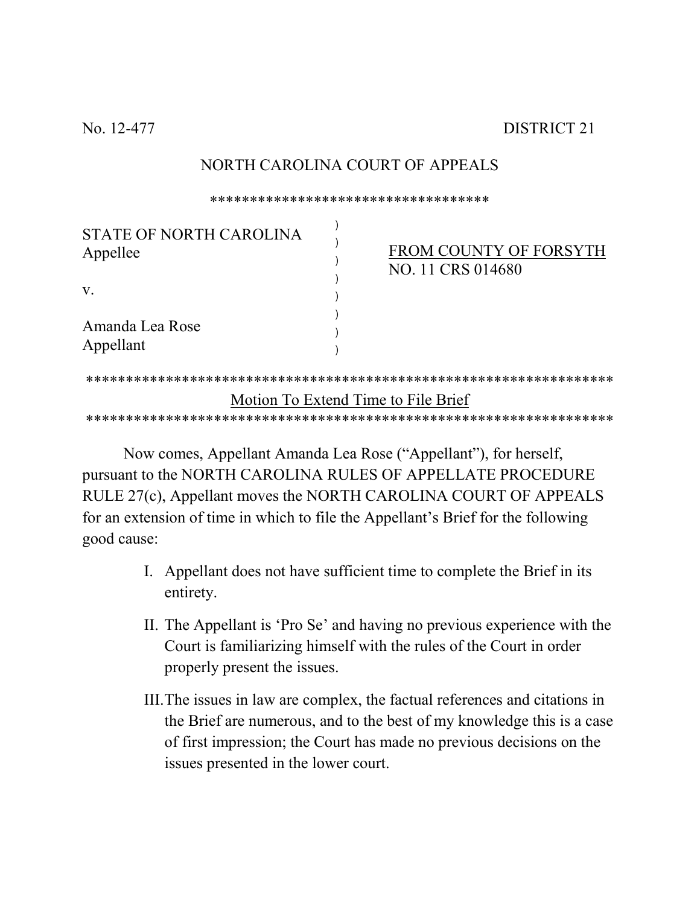No. 12-477

## NORTH CAROLINA COURT OF APPEALS

\*\*\*\*\*\*\*\*\*\*\*\*\*\*\*\*\*\*\*\*\*\*\*\*\*\*\*\*\*\*\*\*\*\*\*

| STATE OF NORTH CAROLINA<br>Appellee |                                     | <b>FROM COUNTY OF FORSYTH</b><br>NO. 11 CRS 014680 |
|-------------------------------------|-------------------------------------|----------------------------------------------------|
| $V_{\rm A}$                         |                                     |                                                    |
| Amanda Lea Rose<br>Appellant        |                                     |                                                    |
|                                     |                                     |                                                    |
|                                     | Motion To Extend Time to File Brief |                                                    |
|                                     |                                     |                                                    |

Now comes, Appellant Amanda Lea Rose ("Appellant"), for herself, pursuant to the NORTH CAROLINA RULES OF APPELLATE PROCEDURE RULE 27(c), Appellant moves the NORTH CAROLINA COURT OF APPEALS for an extension of time in which to file the Appellant's Brief for the following good cause:

- I. Appellant does not have sufficient time to complete the Brief in its entirety.
- II. The Appellant is 'Pro Se' and having no previous experience with the Court is familiarizing himself with the rules of the Court in order properly present the issues.
- III. The issues in law are complex, the factual references and citations in the Brief are numerous, and to the best of my knowledge this is a case of first impression; the Court has made no previous decisions on the issues presented in the lower court.